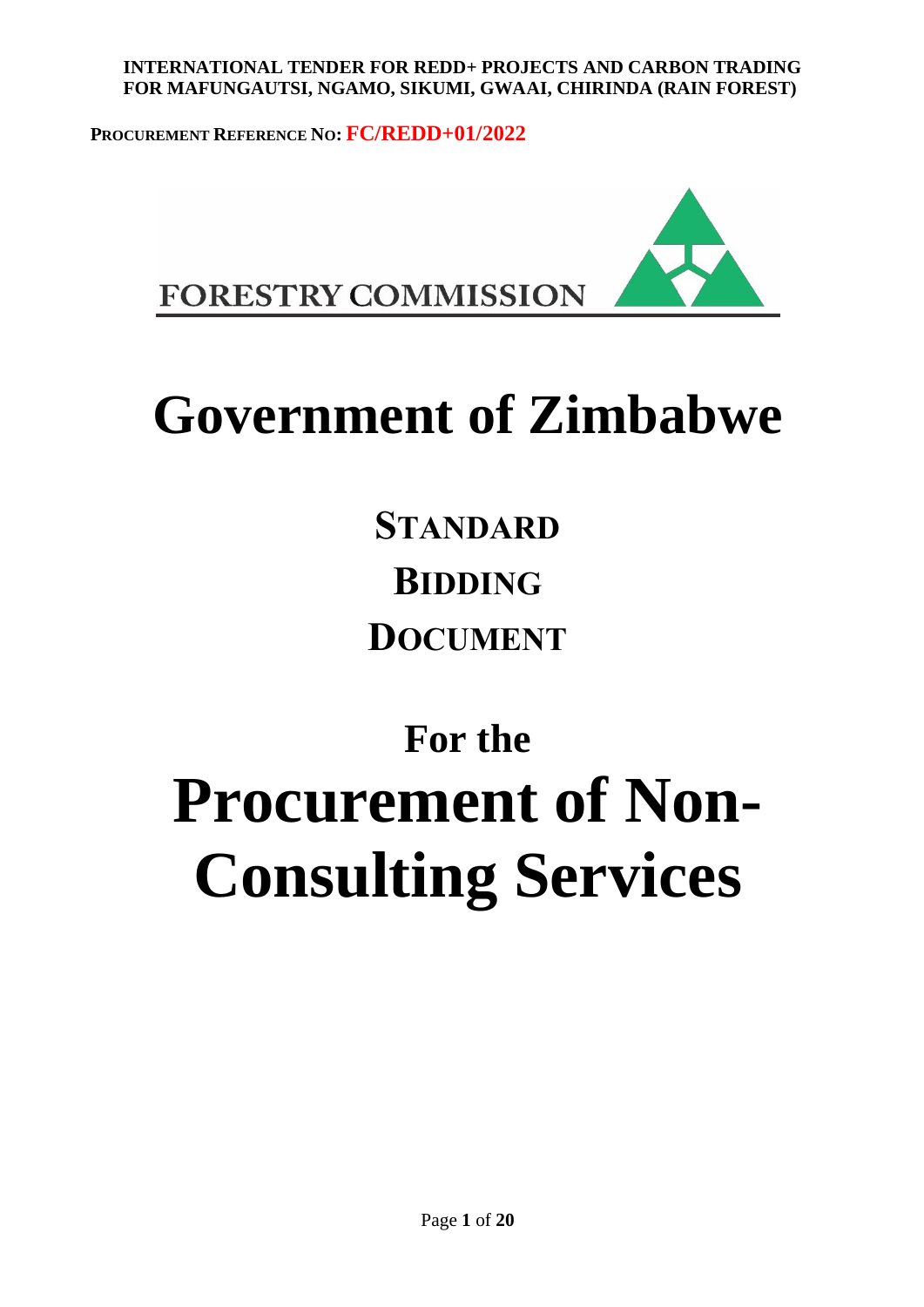**PROCUREMENT REFERENCE NO: FC/REDD+01/2022**



## **Government of Zimbabwe**

**STANDARD BIDDING DOCUMENT**

# **For the Procurement of Non-Consulting Services**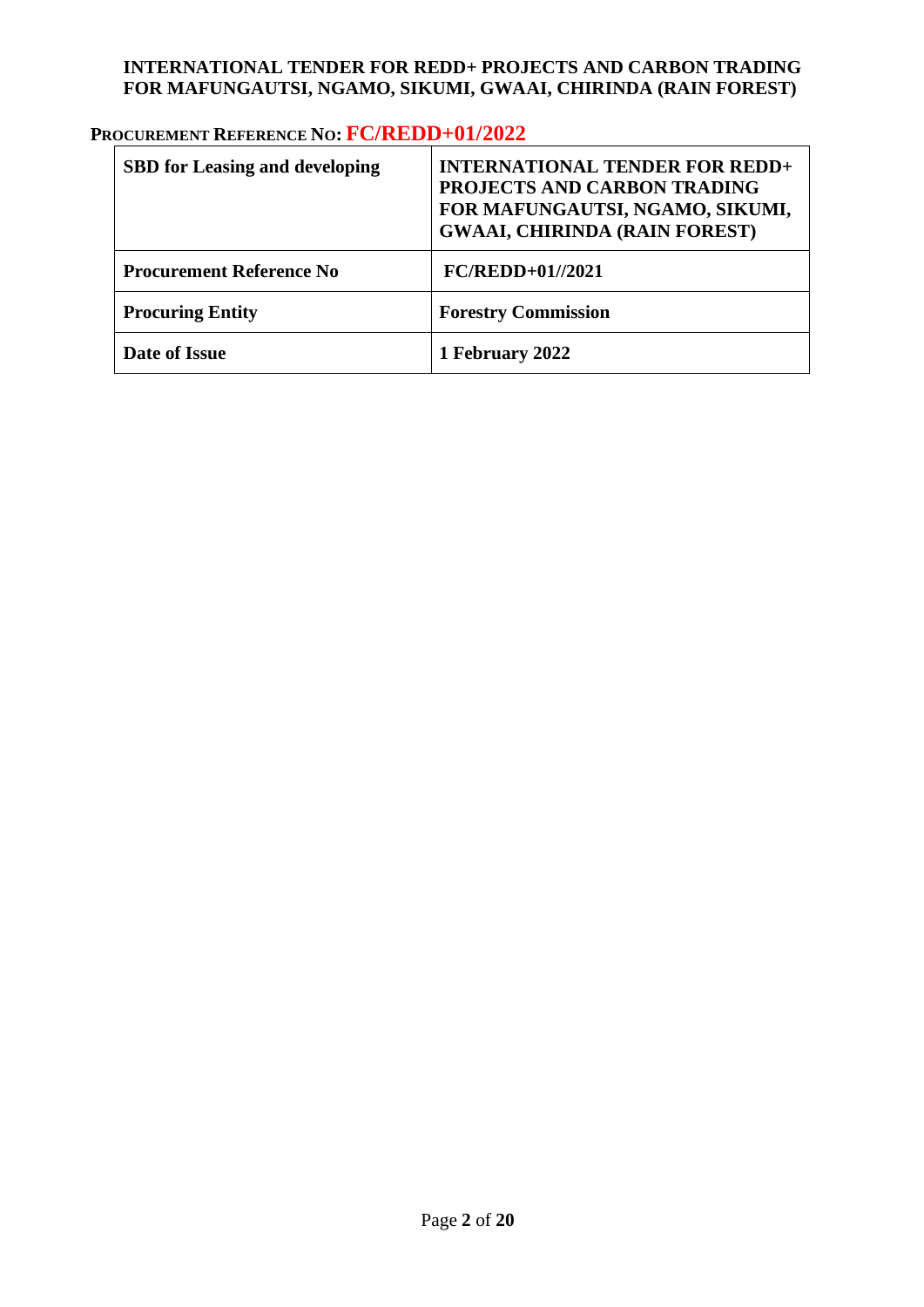| <b>SBD</b> for Leasing and developing | <b>INTERNATIONAL TENDER FOR REDD+</b><br>PROJECTS AND CARBON TRADING<br>FOR MAFUNGAUTSI, NGAMO, SIKUMI,<br><b>GWAAI, CHIRINDA (RAIN FOREST)</b> |
|---------------------------------------|-------------------------------------------------------------------------------------------------------------------------------------------------|
| <b>Procurement Reference No</b>       | <b>FC/REDD+01//2021</b>                                                                                                                         |
| <b>Procuring Entity</b>               | <b>Forestry Commission</b>                                                                                                                      |
| Date of Issue                         | 1 February 2022                                                                                                                                 |

## **PROCUREMENT REFERENCE NO: FC/REDD+01/2022**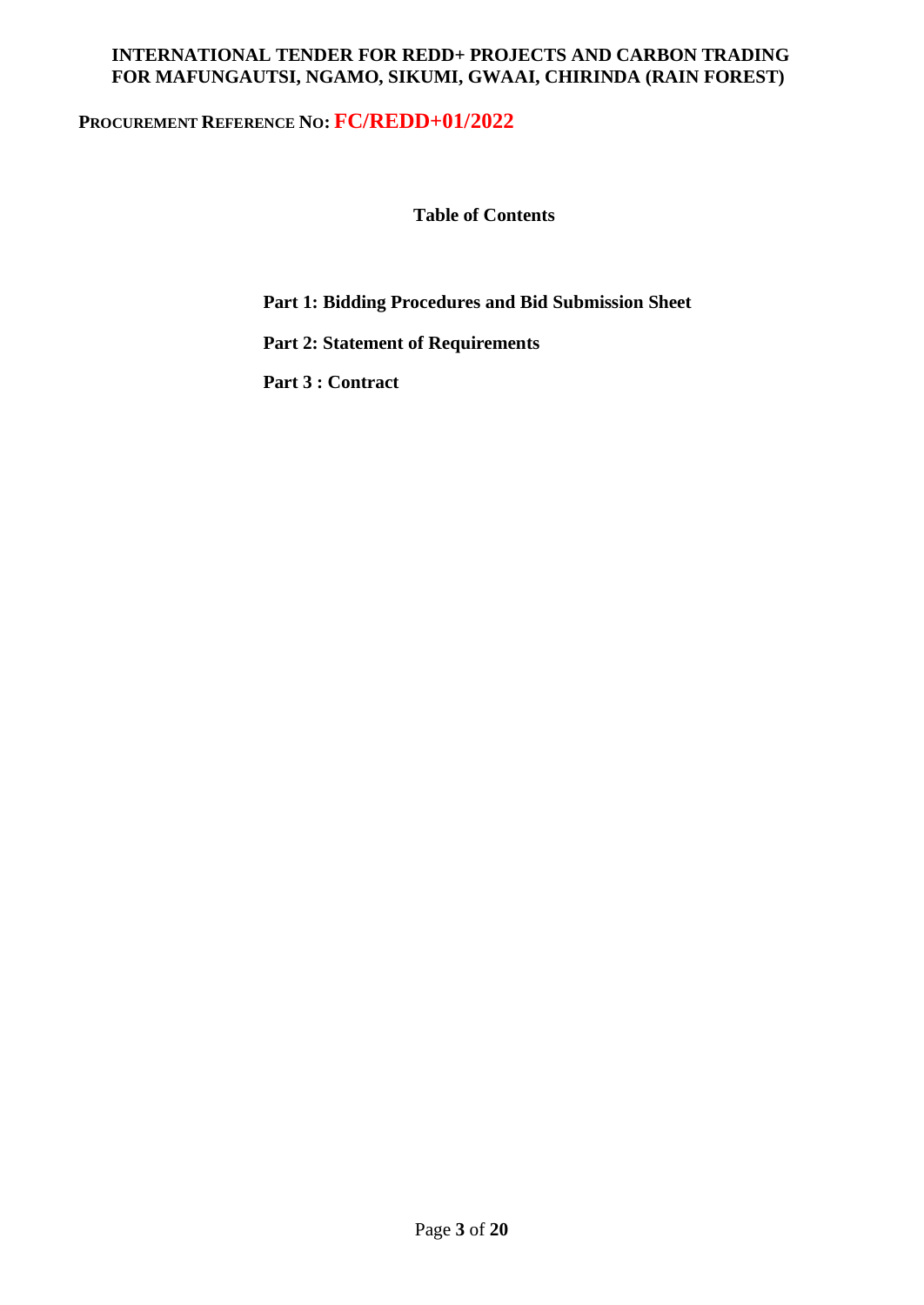## **PROCUREMENT REFERENCE NO: FC/REDD+01/2022**

**Table of Contents**

**Part 1: Bidding Procedures and Bid Submission Sheet**

**Part 2: Statement of Requirements**

**Part 3 : Contract**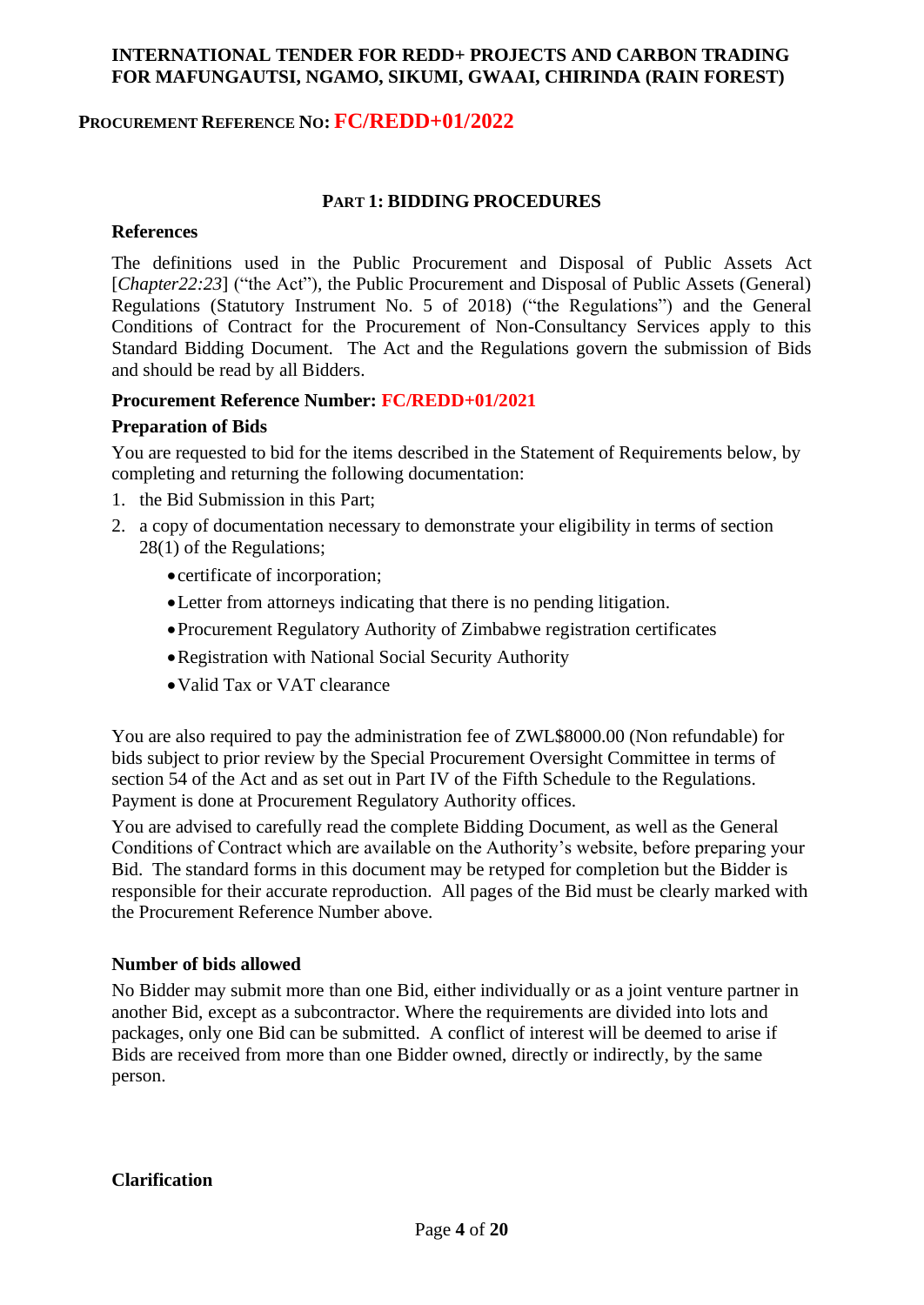#### **PROCUREMENT REFERENCE NO: FC/REDD+01/2022**

#### **PART 1: BIDDING PROCEDURES**

#### **References**

The definitions used in the Public Procurement and Disposal of Public Assets Act [*Chapter22:23*] ("the Act"), the Public Procurement and Disposal of Public Assets (General) Regulations (Statutory Instrument No. 5 of 2018) ("the Regulations") and the General Conditions of Contract for the Procurement of Non-Consultancy Services apply to this Standard Bidding Document. The Act and the Regulations govern the submission of Bids and should be read by all Bidders.

#### **Procurement Reference Number: FC/REDD+01/2021**

#### **Preparation of Bids**

You are requested to bid for the items described in the Statement of Requirements below, by completing and returning the following documentation:

- 1. the Bid Submission in this Part;
- 2. a copy of documentation necessary to demonstrate your eligibility in terms of section 28(1) of the Regulations;
	- certificate of incorporation;
	- •Letter from attorneys indicating that there is no pending litigation.
	- •Procurement Regulatory Authority of Zimbabwe registration certificates
	- •Registration with National Social Security Authority
	- •Valid Tax or VAT clearance

You are also required to pay the administration fee of ZWL\$8000.00 (Non refundable) for bids subject to prior review by the Special Procurement Oversight Committee in terms of section 54 of the Act and as set out in Part IV of the Fifth Schedule to the Regulations. Payment is done at Procurement Regulatory Authority offices.

You are advised to carefully read the complete Bidding Document, as well as the General Conditions of Contract which are available on the Authority's website, before preparing your Bid. The standard forms in this document may be retyped for completion but the Bidder is responsible for their accurate reproduction. All pages of the Bid must be clearly marked with the Procurement Reference Number above.

#### **Number of bids allowed**

No Bidder may submit more than one Bid, either individually or as a joint venture partner in another Bid, except as a subcontractor. Where the requirements are divided into lots and packages, only one Bid can be submitted. A conflict of interest will be deemed to arise if Bids are received from more than one Bidder owned, directly or indirectly, by the same person.

#### **Clarification**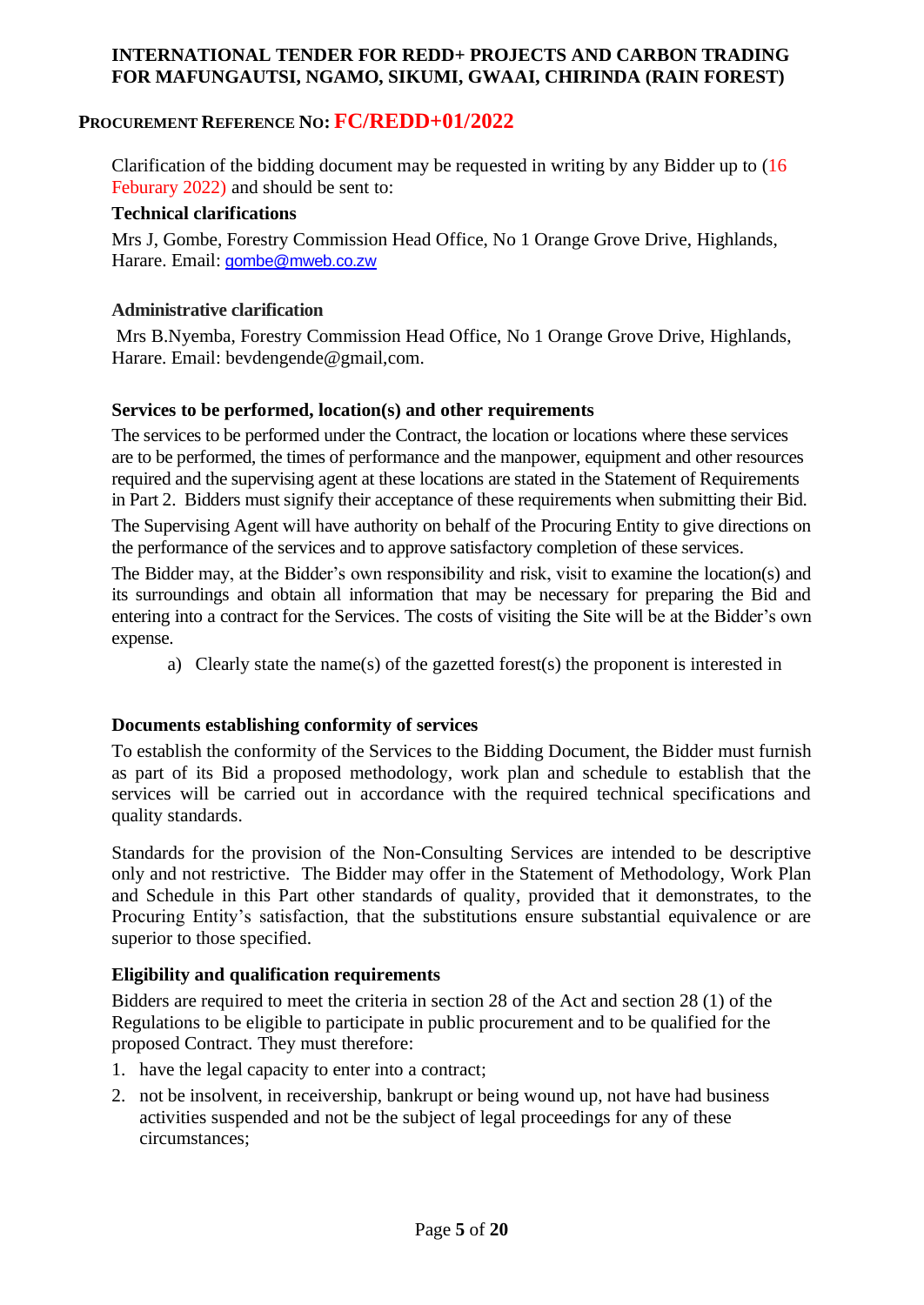## **PROCUREMENT REFERENCE NO: FC/REDD+01/2022**

Clarification of the bidding document may be requested in writing by any Bidder up to (16 Feburary 2022) and should be sent to:

#### **Technical clarifications**

Mrs J, Gombe, Forestry Commission Head Office, No 1 Orange Grove Drive, Highlands, Harare. Email: [gombe@mweb.co.zw](mailto:gombe@mweb.co.zw)

#### **Administrative clarification**

Mrs B.Nyemba, Forestry Commission Head Office, No 1 Orange Grove Drive, Highlands, Harare. Email: bevdengende@gmail,com.

#### **Services to be performed, location(s) and other requirements**

The services to be performed under the Contract, the location or locations where these services are to be performed, the times of performance and the manpower, equipment and other resources required and the supervising agent at these locations are stated in the Statement of Requirements in Part 2. Bidders must signify their acceptance of these requirements when submitting their Bid.

The Supervising Agent will have authority on behalf of the Procuring Entity to give directions on the performance of the services and to approve satisfactory completion of these services.

The Bidder may, at the Bidder's own responsibility and risk, visit to examine the location(s) and its surroundings and obtain all information that may be necessary for preparing the Bid and entering into a contract for the Services. The costs of visiting the Site will be at the Bidder's own expense.

a) Clearly state the name(s) of the gazetted forest(s) the proponent is interested in

## **Documents establishing conformity of services**

To establish the conformity of the Services to the Bidding Document, the Bidder must furnish as part of its Bid a proposed methodology, work plan and schedule to establish that the services will be carried out in accordance with the required technical specifications and quality standards.

Standards for the provision of the Non-Consulting Services are intended to be descriptive only and not restrictive. The Bidder may offer in the Statement of Methodology, Work Plan and Schedule in this Part other standards of quality, provided that it demonstrates, to the Procuring Entity's satisfaction, that the substitutions ensure substantial equivalence or are superior to those specified.

#### **Eligibility and qualification requirements**

Bidders are required to meet the criteria in section 28 of the Act and section 28 (1) of the Regulations to be eligible to participate in public procurement and to be qualified for the proposed Contract. They must therefore:

- 1. have the legal capacity to enter into a contract;
- 2. not be insolvent, in receivership, bankrupt or being wound up, not have had business activities suspended and not be the subject of legal proceedings for any of these circumstances;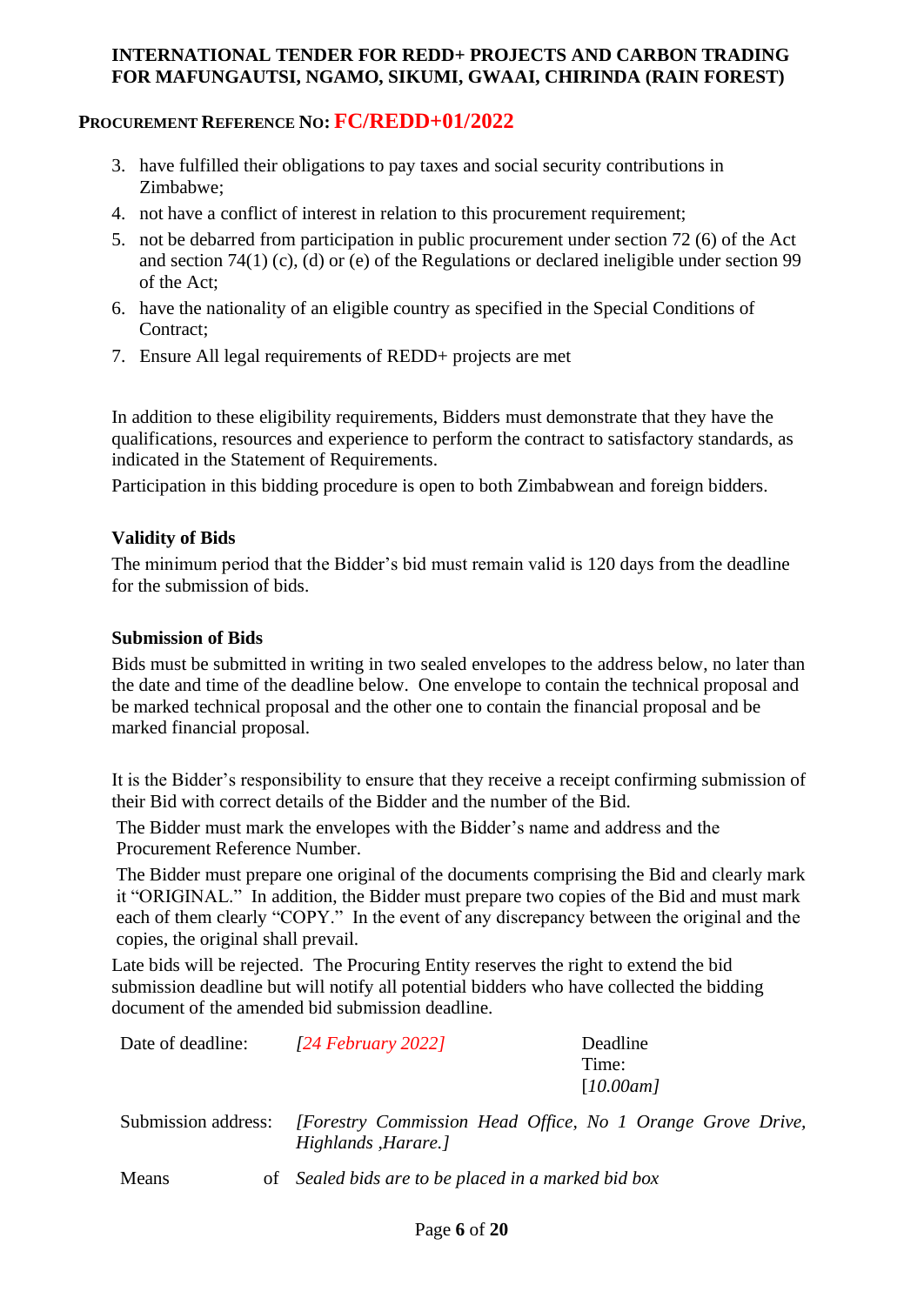## **PROCUREMENT REFERENCE NO: FC/REDD+01/2022**

- 3. have fulfilled their obligations to pay taxes and social security contributions in Zimbabwe;
- 4. not have a conflict of interest in relation to this procurement requirement;
- 5. not be debarred from participation in public procurement under section 72 (6) of the Act and section 74(1) (c), (d) or (e) of the Regulations or declared ineligible under section 99 of the Act;
- 6. have the nationality of an eligible country as specified in the Special Conditions of Contract;
- 7. Ensure All legal requirements of REDD+ projects are met

In addition to these eligibility requirements, Bidders must demonstrate that they have the qualifications, resources and experience to perform the contract to satisfactory standards, as indicated in the Statement of Requirements.

Participation in this bidding procedure is open to both Zimbabwean and foreign bidders.

## **Validity of Bids**

The minimum period that the Bidder's bid must remain valid is 120 days from the deadline for the submission of bids.

## **Submission of Bids**

Bids must be submitted in writing in two sealed envelopes to the address below, no later than the date and time of the deadline below. One envelope to contain the technical proposal and be marked technical proposal and the other one to contain the financial proposal and be marked financial proposal.

It is the Bidder's responsibility to ensure that they receive a receipt confirming submission of their Bid with correct details of the Bidder and the number of the Bid.

The Bidder must mark the envelopes with the Bidder's name and address and the Procurement Reference Number.

The Bidder must prepare one original of the documents comprising the Bid and clearly mark it "ORIGINAL." In addition, the Bidder must prepare two copies of the Bid and must mark each of them clearly "COPY." In the event of any discrepancy between the original and the copies, the original shall prevail.

Late bids will be rejected. The Procuring Entity reserves the right to extend the bid submission deadline but will notify all potential bidders who have collected the bidding document of the amended bid submission deadline.

| Date of deadline: | $[24 \, February \, 2022]$                                                                            | Deadline  |
|-------------------|-------------------------------------------------------------------------------------------------------|-----------|
|                   |                                                                                                       | Time:     |
|                   |                                                                                                       | [10.00am] |
|                   | Submission address: [Forestry Commission Head Office, No 1 Orange Grove Drive,<br>Highlands, Harare.] |           |

```
Means of Sealed bids are to be placed in a marked bid box
```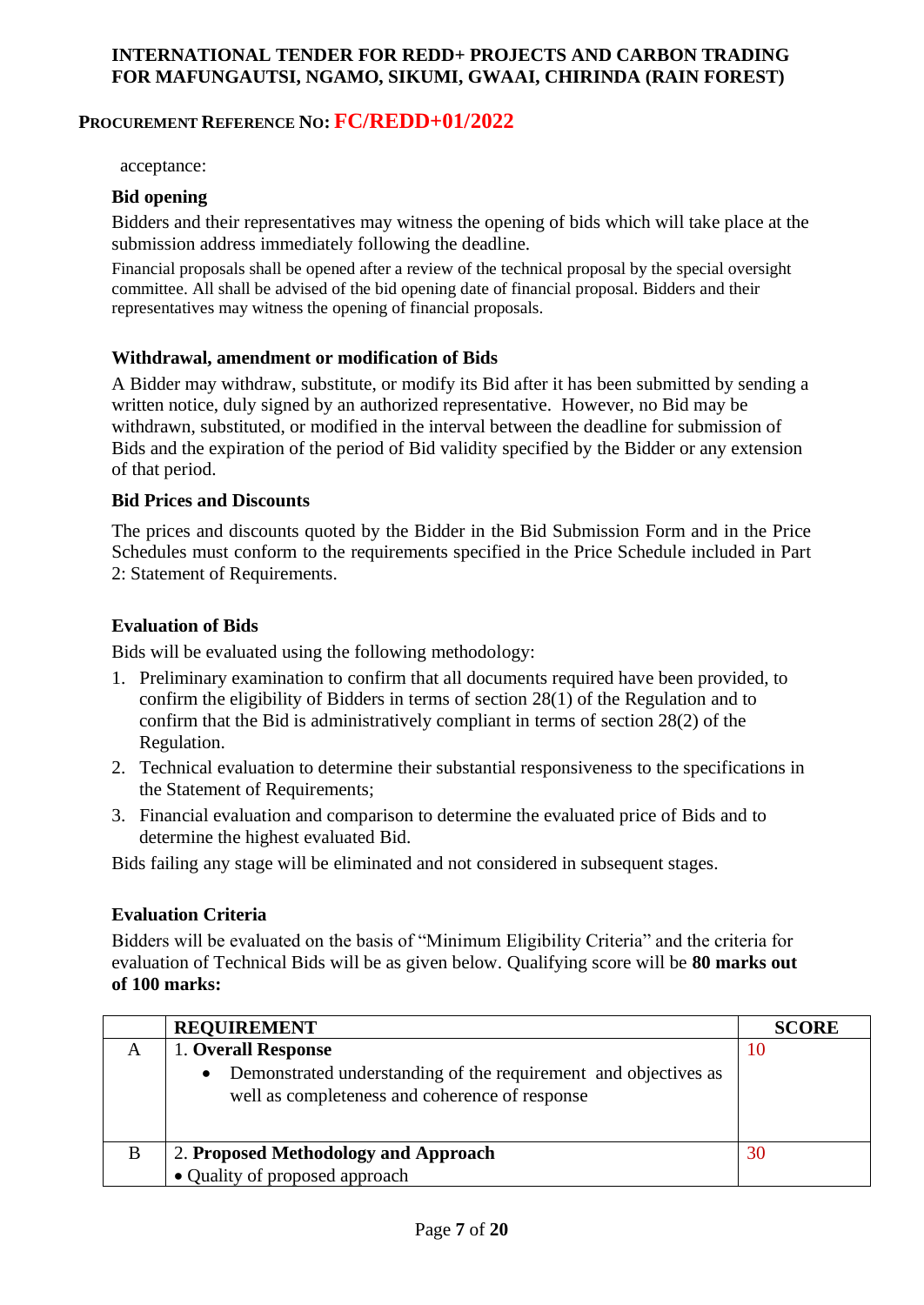## **PROCUREMENT REFERENCE NO: FC/REDD+01/2022**

acceptance:

#### **Bid opening**

Bidders and their representatives may witness the opening of bids which will take place at the submission address immediately following the deadline.

Financial proposals shall be opened after a review of the technical proposal by the special oversight committee. All shall be advised of the bid opening date of financial proposal. Bidders and their representatives may witness the opening of financial proposals.

#### **Withdrawal, amendment or modification of Bids**

A Bidder may withdraw, substitute, or modify its Bid after it has been submitted by sending a written notice, duly signed by an authorized representative. However, no Bid may be withdrawn, substituted, or modified in the interval between the deadline for submission of Bids and the expiration of the period of Bid validity specified by the Bidder or any extension of that period.

#### **Bid Prices and Discounts**

The prices and discounts quoted by the Bidder in the Bid Submission Form and in the Price Schedules must conform to the requirements specified in the Price Schedule included in Part 2: Statement of Requirements.

#### **Evaluation of Bids**

Bids will be evaluated using the following methodology:

- 1. Preliminary examination to confirm that all documents required have been provided, to confirm the eligibility of Bidders in terms of section 28(1) of the Regulation and to confirm that the Bid is administratively compliant in terms of section 28(2) of the Regulation.
- 2. Technical evaluation to determine their substantial responsiveness to the specifications in the Statement of Requirements;
- 3. Financial evaluation and comparison to determine the evaluated price of Bids and to determine the highest evaluated Bid.

Bids failing any stage will be eliminated and not considered in subsequent stages.

## **Evaluation Criteria**

Bidders will be evaluated on the basis of "Minimum Eligibility Criteria" and the criteria for evaluation of Technical Bids will be as given below. Qualifying score will be **80 marks out of 100 marks:**

|   | <b>REQUIREMENT</b>                                                                                                             | <b>SCORE</b> |
|---|--------------------------------------------------------------------------------------------------------------------------------|--------------|
| А | 1. Overall Response                                                                                                            | 10           |
|   | Demonstrated understanding of the requirement and objectives as<br>$\bullet$<br>well as completeness and coherence of response |              |
| B | 2. Proposed Methodology and Approach                                                                                           | 30           |
|   | • Quality of proposed approach                                                                                                 |              |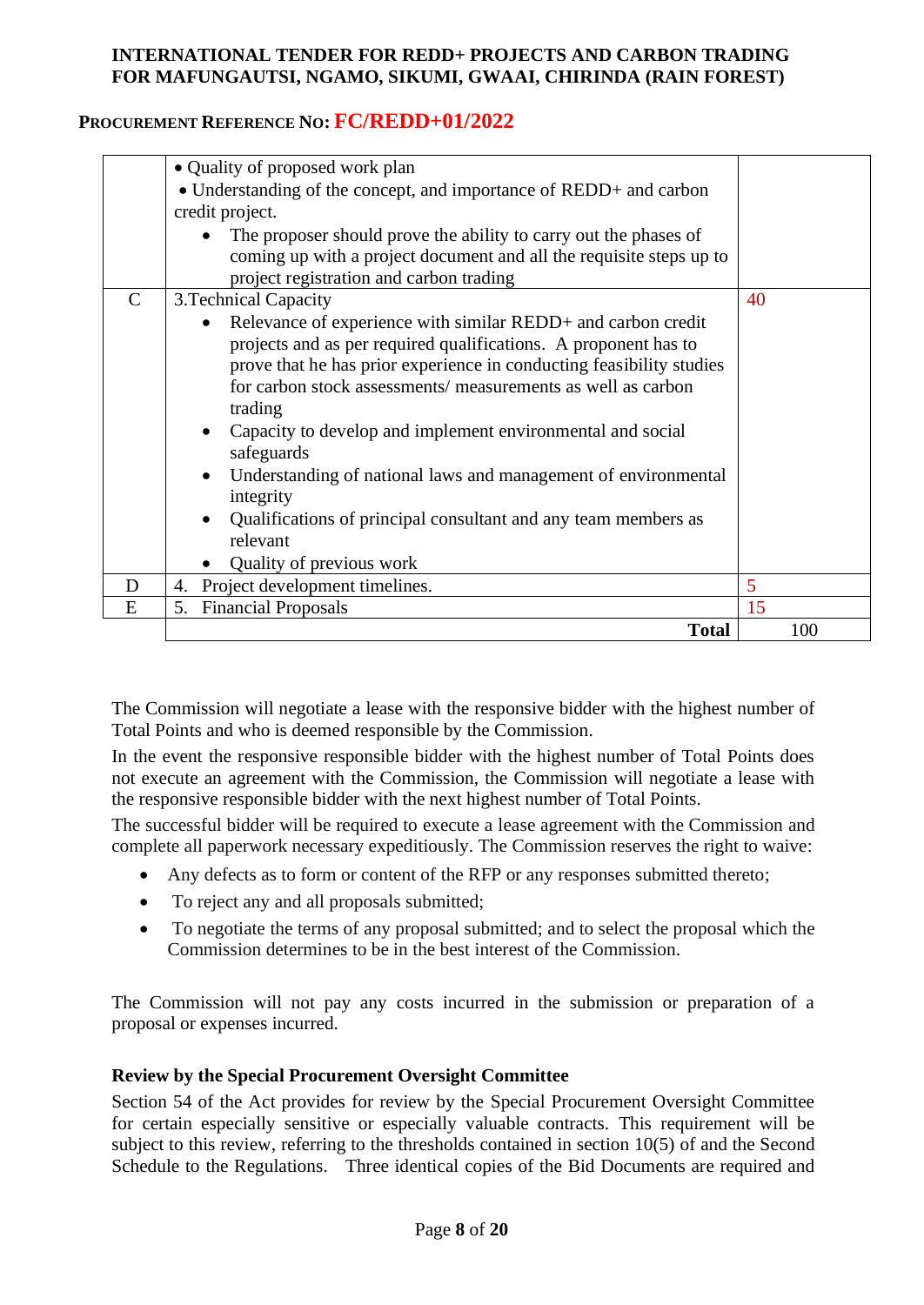## **PROCUREMENT REFERENCE NO: FC/REDD+01/2022**

|               | • Quality of proposed work plan                                                                                                                                                                                                                                                    |     |
|---------------|------------------------------------------------------------------------------------------------------------------------------------------------------------------------------------------------------------------------------------------------------------------------------------|-----|
|               | • Understanding of the concept, and importance of REDD+ and carbon                                                                                                                                                                                                                 |     |
|               | credit project.                                                                                                                                                                                                                                                                    |     |
|               | The proposer should prove the ability to carry out the phases of                                                                                                                                                                                                                   |     |
|               | coming up with a project document and all the requisite steps up to                                                                                                                                                                                                                |     |
|               | project registration and carbon trading                                                                                                                                                                                                                                            |     |
| $\mathcal{C}$ | 3. Technical Capacity                                                                                                                                                                                                                                                              | 40  |
|               | Relevance of experience with similar REDD+ and carbon credit<br>projects and as per required qualifications. A proponent has to<br>prove that he has prior experience in conducting feasibility studies<br>for carbon stock assessments/ measurements as well as carbon<br>trading |     |
|               | Capacity to develop and implement environmental and social<br>safeguards                                                                                                                                                                                                           |     |
|               | Understanding of national laws and management of environmental<br>integrity                                                                                                                                                                                                        |     |
|               | Qualifications of principal consultant and any team members as<br>relevant                                                                                                                                                                                                         |     |
|               | Quality of previous work                                                                                                                                                                                                                                                           |     |
| D             | Project development timelines.<br>4.                                                                                                                                                                                                                                               | 5   |
| E             | <b>Financial Proposals</b><br>5.                                                                                                                                                                                                                                                   | 15  |
|               | <b>Total</b>                                                                                                                                                                                                                                                                       | 100 |

The Commission will negotiate a lease with the responsive bidder with the highest number of Total Points and who is deemed responsible by the Commission.

In the event the responsive responsible bidder with the highest number of Total Points does not execute an agreement with the Commission, the Commission will negotiate a lease with the responsive responsible bidder with the next highest number of Total Points.

The successful bidder will be required to execute a lease agreement with the Commission and complete all paperwork necessary expeditiously. The Commission reserves the right to waive:

- Any defects as to form or content of the RFP or any responses submitted thereto;
- To reject any and all proposals submitted;
- To negotiate the terms of any proposal submitted; and to select the proposal which the Commission determines to be in the best interest of the Commission.

The Commission will not pay any costs incurred in the submission or preparation of a proposal or expenses incurred.

## **Review by the Special Procurement Oversight Committee**

Section 54 of the Act provides for review by the Special Procurement Oversight Committee for certain especially sensitive or especially valuable contracts. This requirement will be subject to this review, referring to the thresholds contained in section 10(5) of and the Second Schedule to the Regulations. Three identical copies of the Bid Documents are required and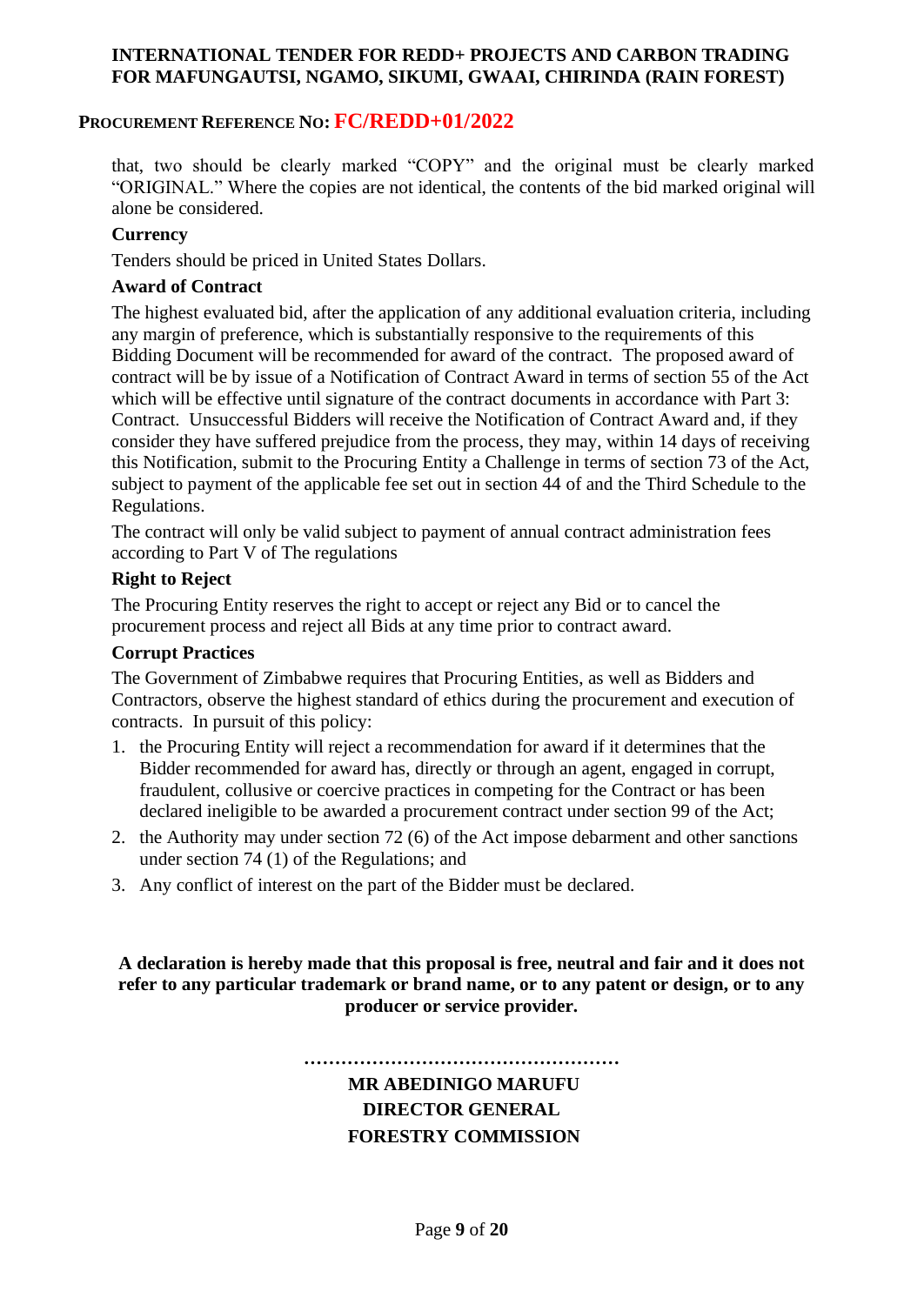## **PROCUREMENT REFERENCE NO: FC/REDD+01/2022**

that, two should be clearly marked "COPY" and the original must be clearly marked "ORIGINAL." Where the copies are not identical, the contents of the bid marked original will alone be considered.

#### **Currency**

Tenders should be priced in United States Dollars.

#### **Award of Contract**

The highest evaluated bid, after the application of any additional evaluation criteria, including any margin of preference, which is substantially responsive to the requirements of this Bidding Document will be recommended for award of the contract. The proposed award of contract will be by issue of a Notification of Contract Award in terms of section 55 of the Act which will be effective until signature of the contract documents in accordance with Part 3: Contract. Unsuccessful Bidders will receive the Notification of Contract Award and, if they consider they have suffered prejudice from the process, they may, within 14 days of receiving this Notification, submit to the Procuring Entity a Challenge in terms of section 73 of the Act, subject to payment of the applicable fee set out in section 44 of and the Third Schedule to the Regulations.

The contract will only be valid subject to payment of annual contract administration fees according to Part V of The regulations

#### **Right to Reject**

The Procuring Entity reserves the right to accept or reject any Bid or to cancel the procurement process and reject all Bids at any time prior to contract award.

#### **Corrupt Practices**

The Government of Zimbabwe requires that Procuring Entities, as well as Bidders and Contractors, observe the highest standard of ethics during the procurement and execution of contracts. In pursuit of this policy:

- 1. the Procuring Entity will reject a recommendation for award if it determines that the Bidder recommended for award has, directly or through an agent, engaged in corrupt, fraudulent, collusive or coercive practices in competing for the Contract or has been declared ineligible to be awarded a procurement contract under section 99 of the Act;
- 2. the Authority may under section 72 (6) of the Act impose debarment and other sanctions under section 74 (1) of the Regulations; and
- 3. Any conflict of interest on the part of the Bidder must be declared.

**A declaration is hereby made that this proposal is free, neutral and fair and it does not refer to any particular trademark or brand name, or to any patent or design, or to any producer or service provider.**

**……………………………………………** 

**MR ABEDINIGO MARUFU DIRECTOR GENERAL FORESTRY COMMISSION**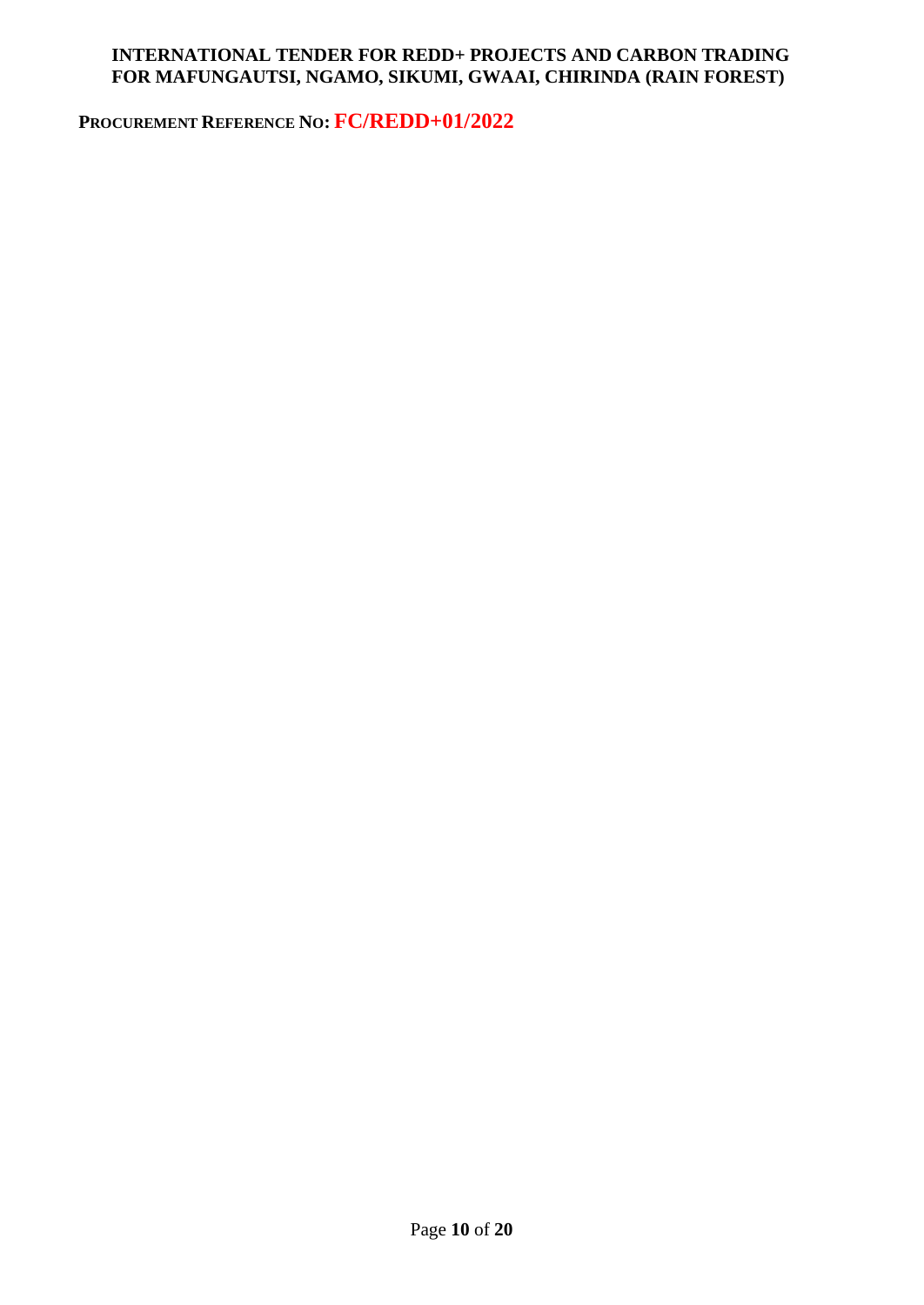**PROCUREMENT REFERENCE NO: FC/REDD+01/2022**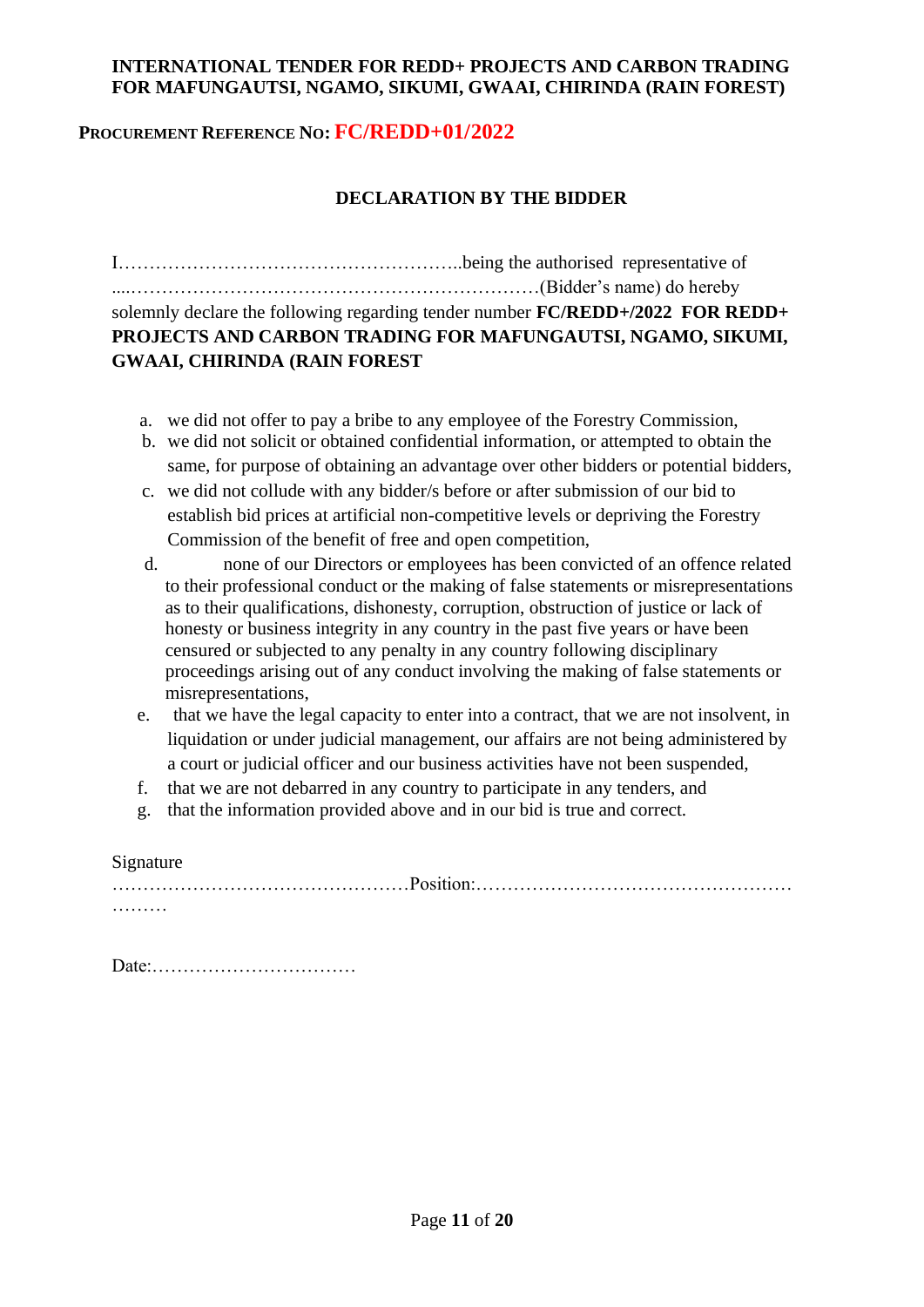## **PROCUREMENT REFERENCE NO: FC/REDD+01/2022**

## **DECLARATION BY THE BIDDER**

| solemnly declare the following regarding tender number $FC/REDD+/2022$ FOR REDD+ |
|----------------------------------------------------------------------------------|
| PROJECTS AND CARBON TRADING FOR MAFUNGAUTSI, NGAMO, SIKUMI,                      |
| <b>GWAAI, CHIRINDA (RAIN FOREST)</b>                                             |

- a. we did not offer to pay a bribe to any employee of the Forestry Commission,
- b. we did not solicit or obtained confidential information, or attempted to obtain the same, for purpose of obtaining an advantage over other bidders or potential bidders,
- c. we did not collude with any bidder/s before or after submission of our bid to establish bid prices at artificial non-competitive levels or depriving the Forestry Commission of the benefit of free and open competition,
- d. none of our Directors or employees has been convicted of an offence related to their professional conduct or the making of false statements or misrepresentations as to their qualifications, dishonesty, corruption, obstruction of justice or lack of honesty or business integrity in any country in the past five years or have been censured or subjected to any penalty in any country following disciplinary proceedings arising out of any conduct involving the making of false statements or misrepresentations,
- e. that we have the legal capacity to enter into a contract, that we are not insolvent, in liquidation or under judicial management, our affairs are not being administered by a court or judicial officer and our business activities have not been suspended,
- f. that we are not debarred in any country to participate in any tenders, and
- g. that the information provided above and in our bid is true and correct.

| . |  |
|---|--|

Date:……………………………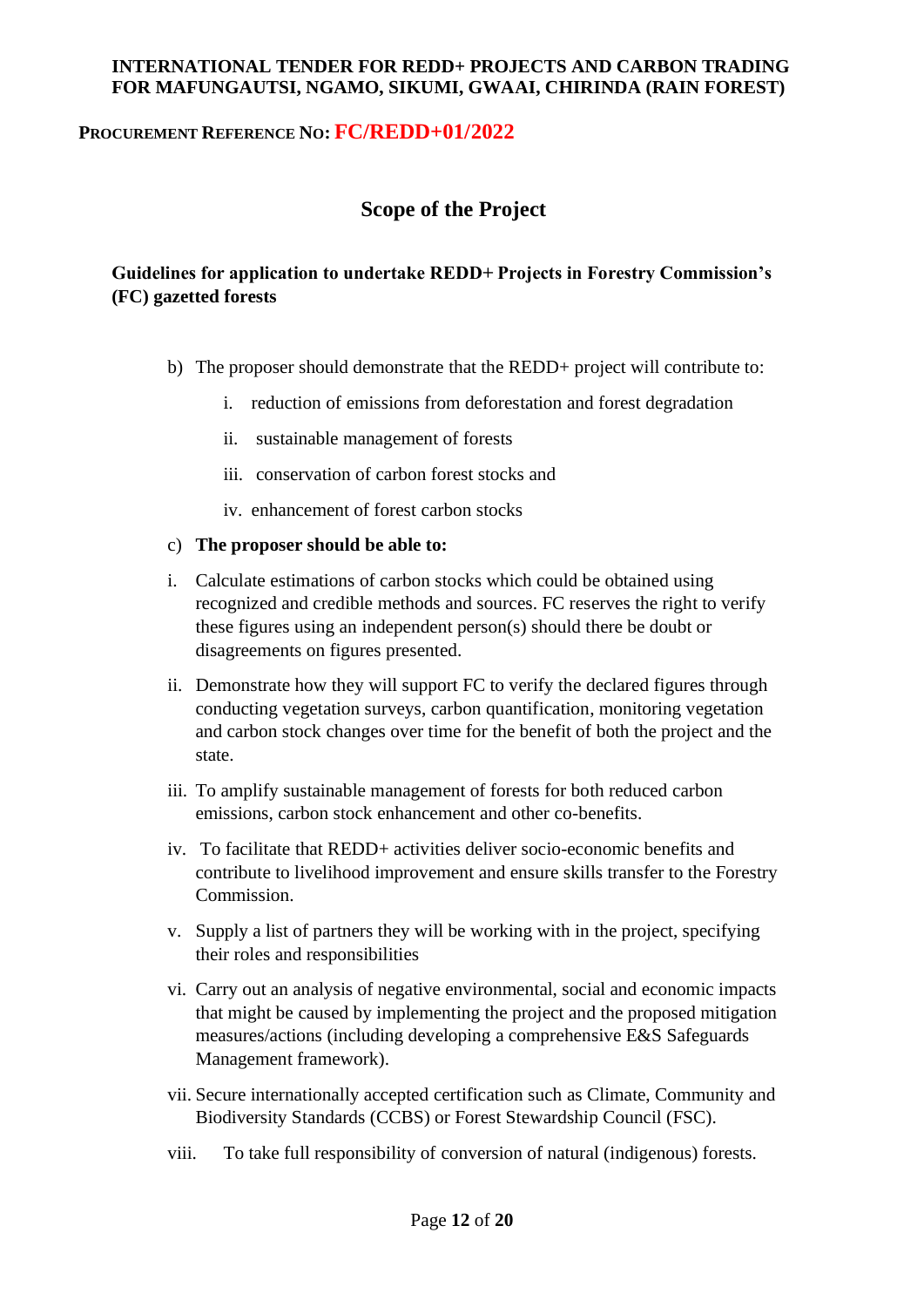## **PROCUREMENT REFERENCE NO: FC/REDD+01/2022**

## **Scope of the Project**

## **Guidelines for application to undertake REDD+ Projects in Forestry Commission's (FC) gazetted forests**

- b) The proposer should demonstrate that the REDD+ project will contribute to:
	- i. reduction of emissions from deforestation and forest degradation
	- ii. sustainable management of forests
	- iii. conservation of carbon forest stocks and
	- iv. enhancement of forest carbon stocks
- c) **The proposer should be able to:**
- i. Calculate estimations of carbon stocks which could be obtained using recognized and credible methods and sources. FC reserves the right to verify these figures using an independent person(s) should there be doubt or disagreements on figures presented.
- ii. Demonstrate how they will support FC to verify the declared figures through conducting vegetation surveys, carbon quantification, monitoring vegetation and carbon stock changes over time for the benefit of both the project and the state.
- iii. To amplify sustainable management of forests for both reduced carbon emissions, carbon stock enhancement and other co-benefits.
- iv. To facilitate that REDD+ activities deliver socio-economic benefits and contribute to livelihood improvement and ensure skills transfer to the Forestry Commission.
- v. Supply a list of partners they will be working with in the project, specifying their roles and responsibilities
- vi. Carry out an analysis of negative environmental, social and economic impacts that might be caused by implementing the project and the proposed mitigation measures/actions (including developing a comprehensive E&S Safeguards Management framework).
- vii. Secure internationally accepted certification such as Climate, Community and Biodiversity Standards (CCBS) or Forest Stewardship Council (FSC).
- viii. To take full responsibility of conversion of natural (indigenous) forests.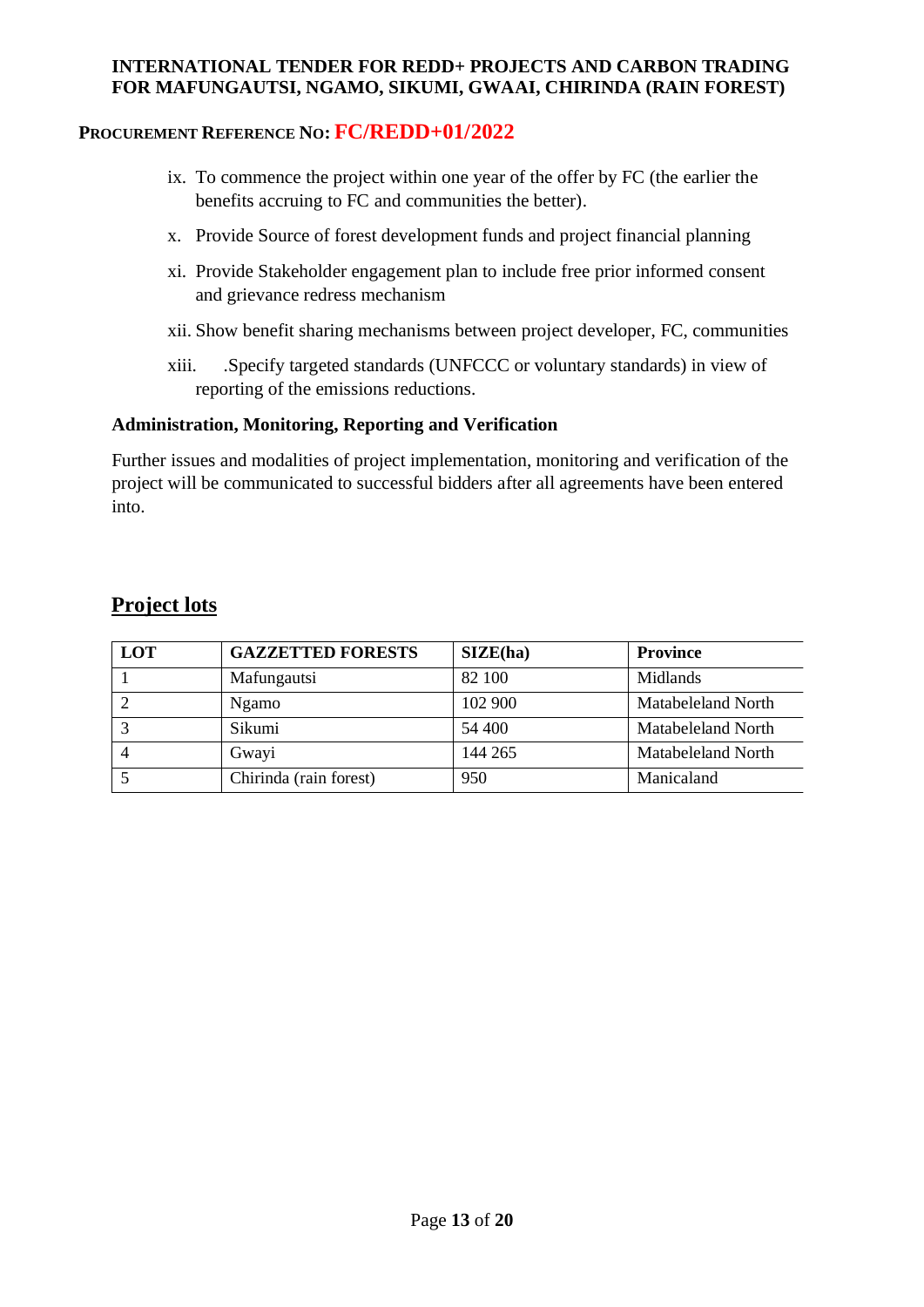## **PROCUREMENT REFERENCE NO: FC/REDD+01/2022**

- ix. To commence the project within one year of the offer by FC (the earlier the benefits accruing to FC and communities the better).
- x. Provide Source of forest development funds and project financial planning
- xi. Provide Stakeholder engagement plan to include free prior informed consent and grievance redress mechanism
- xii. Show benefit sharing mechanisms between project developer, FC, communities
- xiii. .Specify targeted standards (UNFCCC or voluntary standards) in view of reporting of the emissions reductions.

## **Administration, Monitoring, Reporting and Verification**

Further issues and modalities of project implementation, monitoring and verification of the project will be communicated to successful bidders after all agreements have been entered into.

## **Project lots**

| LOT | <b>GAZZETTED FORESTS</b> | SIZE(ha) | <b>Province</b>           |
|-----|--------------------------|----------|---------------------------|
|     | Mafungautsi              | 82 100   | Midlands                  |
|     | Ngamo                    | 102 900  | <b>Matabeleland North</b> |
|     | Sikumi                   | 54 400   | Matabeleland North        |
|     | Gwayi                    | 144 265  | <b>Matabeleland North</b> |
|     | Chirinda (rain forest)   | 950      | Manicaland                |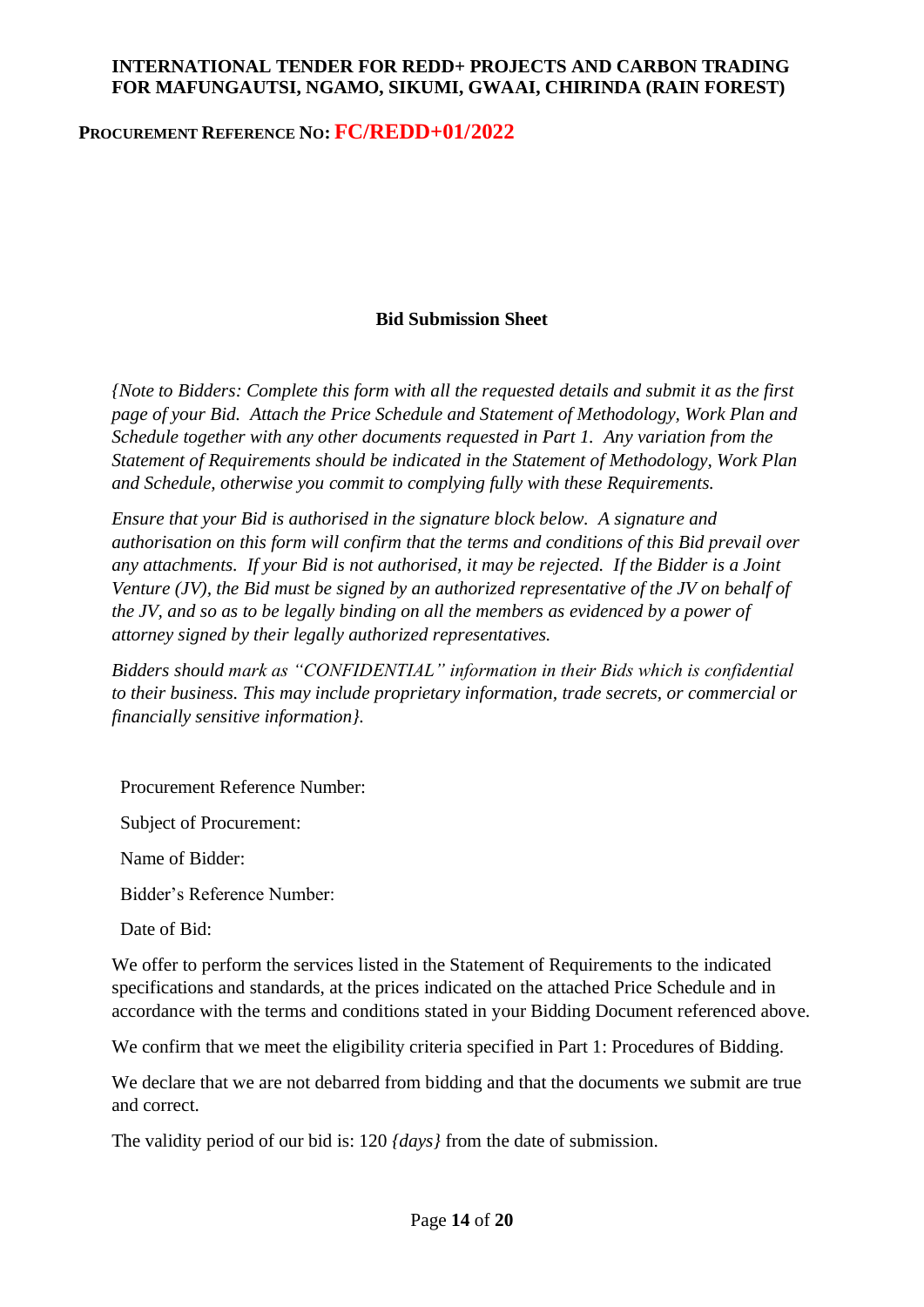## **PROCUREMENT REFERENCE NO: FC/REDD+01/2022**

#### **Bid Submission Sheet**

*{Note to Bidders: Complete this form with all the requested details and submit it as the first page of your Bid. Attach the Price Schedule and Statement of Methodology, Work Plan and Schedule together with any other documents requested in Part 1. Any variation from the Statement of Requirements should be indicated in the Statement of Methodology, Work Plan and Schedule, otherwise you commit to complying fully with these Requirements.*

*Ensure that your Bid is authorised in the signature block below. A signature and authorisation on this form will confirm that the terms and conditions of this Bid prevail over any attachments. If your Bid is not authorised, it may be rejected. If the Bidder is a Joint Venture (JV), the Bid must be signed by an authorized representative of the JV on behalf of the JV, and so as to be legally binding on all the members as evidenced by a power of attorney signed by their legally authorized representatives.* 

*Bidders should mark as "CONFIDENTIAL" information in their Bids which is confidential to their business. This may include proprietary information, trade secrets, or commercial or financially sensitive information}.* 

Procurement Reference Number:

Subject of Procurement:

Name of Bidder:

Bidder's Reference Number:

Date of Bid:

We offer to perform the services listed in the Statement of Requirements to the indicated specifications and standards, at the prices indicated on the attached Price Schedule and in accordance with the terms and conditions stated in your Bidding Document referenced above.

We confirm that we meet the eligibility criteria specified in Part 1: Procedures of Bidding.

We declare that we are not debarred from bidding and that the documents we submit are true and correct.

The validity period of our bid is: 120 *{days}* from the date of submission.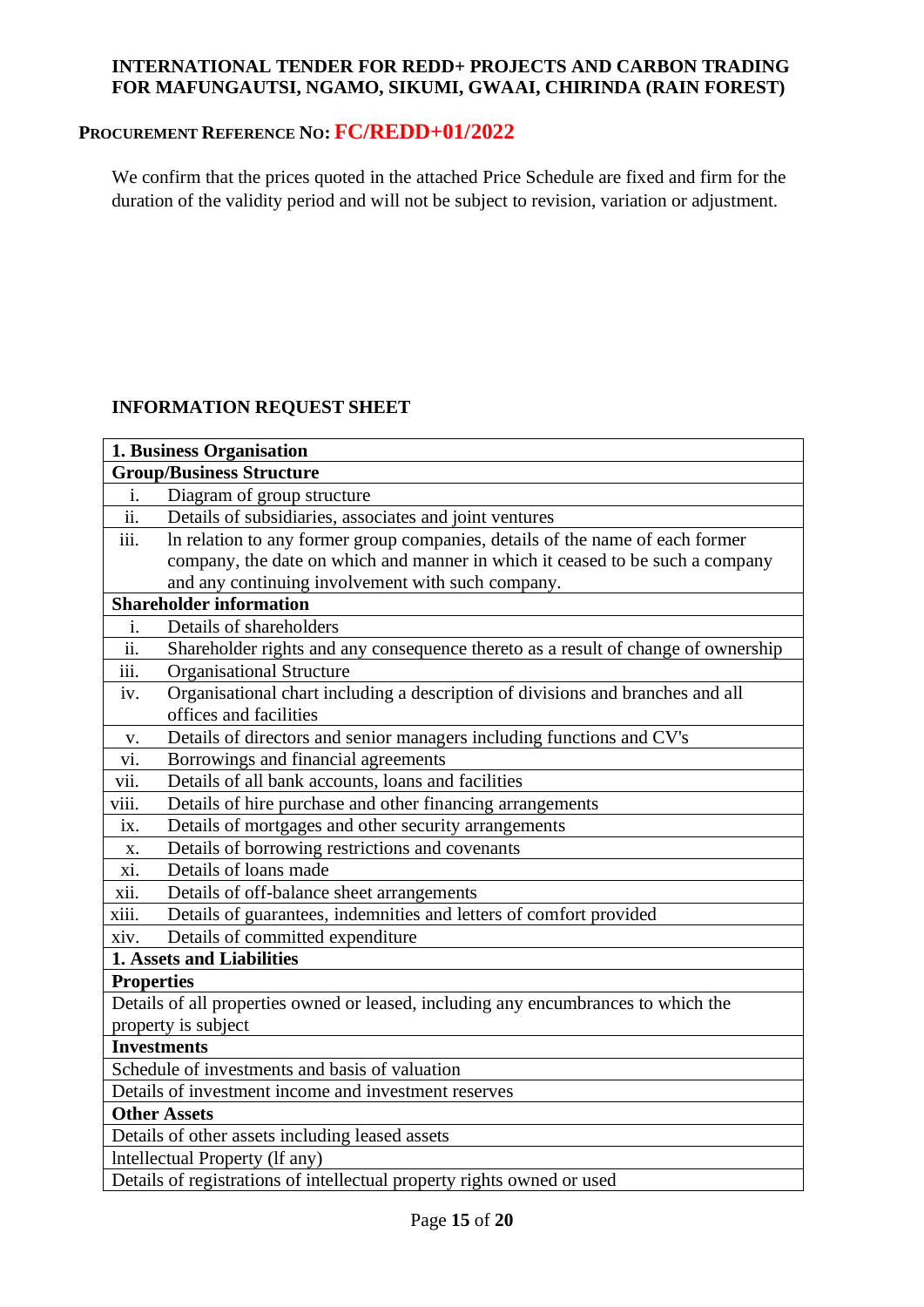## **PROCUREMENT REFERENCE NO: FC/REDD+01/2022**

We confirm that the prices quoted in the attached Price Schedule are fixed and firm for the duration of the validity period and will not be subject to revision, variation or adjustment.

## **INFORMATION REQUEST SHEET**

| 1. Business Organisation                             |                                                                                    |  |  |
|------------------------------------------------------|------------------------------------------------------------------------------------|--|--|
|                                                      | <b>Group/Business Structure</b>                                                    |  |  |
| $\mathbf{i}$ .                                       | Diagram of group structure                                                         |  |  |
| $\dddot{\mathbf{i}}$ .                               | Details of subsidiaries, associates and joint ventures                             |  |  |
| $\overline{\text{iii}}$ .                            | In relation to any former group companies, details of the name of each former      |  |  |
|                                                      | company, the date on which and manner in which it ceased to be such a company      |  |  |
|                                                      | and any continuing involvement with such company.                                  |  |  |
|                                                      | <b>Shareholder information</b>                                                     |  |  |
| i.                                                   | Details of shareholders                                                            |  |  |
| $\overline{ii}$ .                                    | Shareholder rights and any consequence thereto as a result of change of ownership  |  |  |
| iii.                                                 | <b>Organisational Structure</b>                                                    |  |  |
| iv.                                                  | Organisational chart including a description of divisions and branches and all     |  |  |
|                                                      | offices and facilities                                                             |  |  |
| ${\bf V}$ .                                          | Details of directors and senior managers including functions and CV's              |  |  |
| vi.                                                  | Borrowings and financial agreements                                                |  |  |
| vii.                                                 | Details of all bank accounts, loans and facilities                                 |  |  |
| viii.                                                | Details of hire purchase and other financing arrangements                          |  |  |
| ix.                                                  | Details of mortgages and other security arrangements                               |  |  |
| X.                                                   | Details of borrowing restrictions and covenants                                    |  |  |
| xi.                                                  | Details of loans made                                                              |  |  |
| xii.                                                 | Details of off-balance sheet arrangements                                          |  |  |
| xiii.                                                | Details of guarantees, indemnities and letters of comfort provided                 |  |  |
| xiv.                                                 | Details of committed expenditure                                                   |  |  |
|                                                      | <b>1. Assets and Liabilities</b>                                                   |  |  |
| <b>Properties</b>                                    |                                                                                    |  |  |
|                                                      | Details of all properties owned or leased, including any encumbrances to which the |  |  |
| property is subject                                  |                                                                                    |  |  |
| <b>Investments</b>                                   |                                                                                    |  |  |
| Schedule of investments and basis of valuation       |                                                                                    |  |  |
| Details of investment income and investment reserves |                                                                                    |  |  |
| <b>Other Assets</b>                                  |                                                                                    |  |  |
| Details of other assets including leased assets      |                                                                                    |  |  |
| Intellectual Property (If any)                       |                                                                                    |  |  |
|                                                      | Details of registrations of intellectual property rights owned or used             |  |  |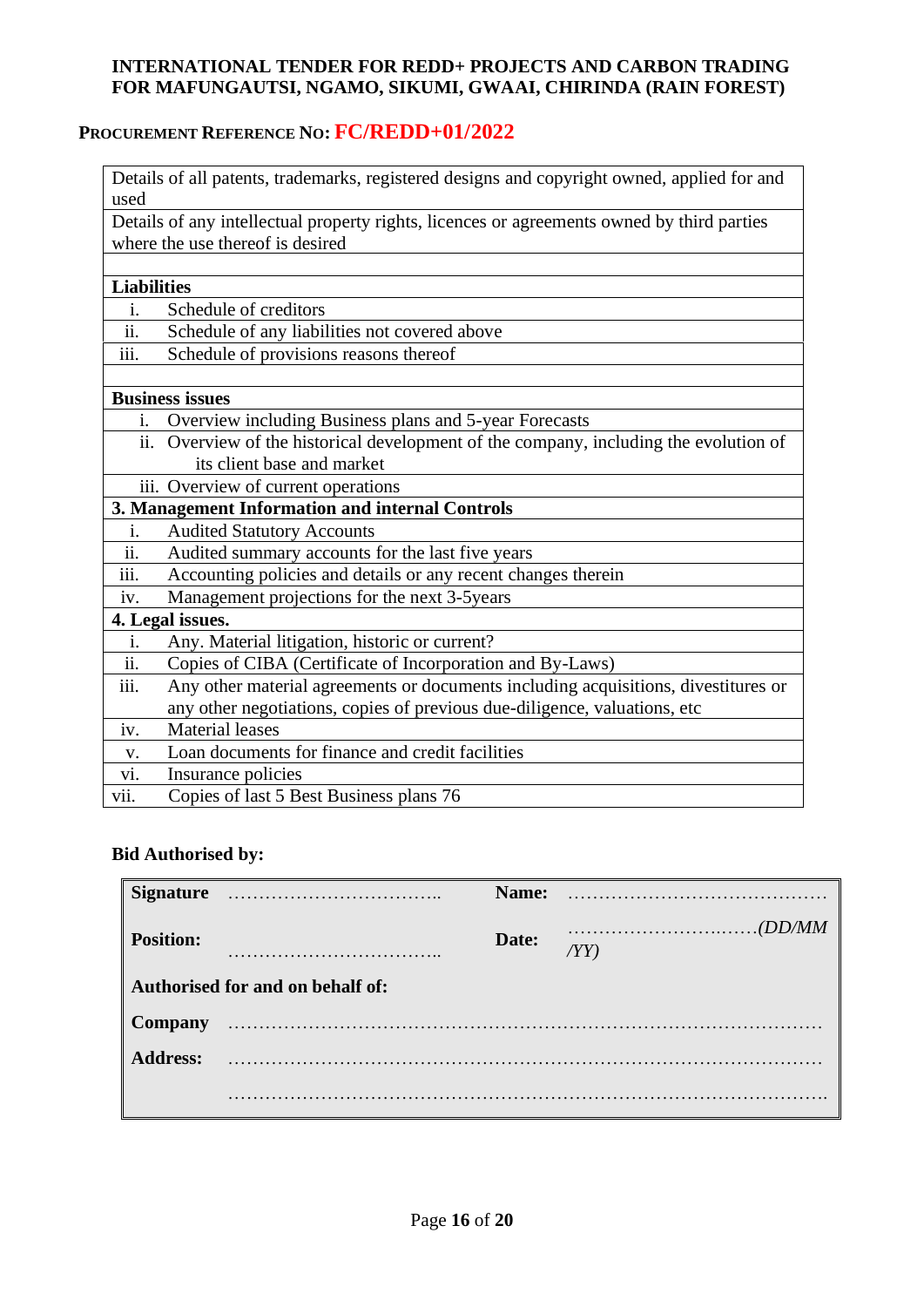## **PROCUREMENT REFERENCE NO: FC/REDD+01/2022**

Details of all patents, trademarks, registered designs and copyright owned, applied for and used

Details of any intellectual property rights, licences or agreements owned by third parties where the use thereof is desired

#### **Liabilities**

- i. Schedule of creditors
- ii. Schedule of any liabilities not covered above
- iii. Schedule of provisions reasons thereof

#### **Business issues**

- i. Overview including Business plans and 5-year Forecasts
- ii. Overview of the historical development of the company, including the evolution of its client base and market

iii. Overview of current operations

## **3. Management Information and internal Controls**

- i. Audited Statutory Accounts
- ii. Audited summary accounts for the last five years
- iii. Accounting policies and details or any recent changes therein
- iv. Management projections for the next 3-5years

## **4. Legal issues.**

- i. Any. Material litigation, historic or current? ii. Copies of CIBA (Certificate of Incorporation and By-Laws)
- iii. Any other material agreements or documents including acquisitions, divestitures or
- any other negotiations, copies of previous due-diligence, valuations, etc
- iv. Material leases v. Loan documents for finance and credit facilities vi. Insurance policies
- vii. Copies of last 5 Best Business plans 76

## **Bid Authorised by:**

| <b>Signature</b> |                                  | Name: |                                                                                  |
|------------------|----------------------------------|-------|----------------------------------------------------------------------------------|
| <b>Position:</b> |                                  | Date: | $\ldots \ldots \ldots \ldots \ldots \ldots \ldots \ldots \ldots (DD/MM)$<br>/YY) |
|                  | Authorised for and on behalf of: |       |                                                                                  |
| <b>Company</b>   |                                  |       |                                                                                  |
| <b>Address:</b>  |                                  |       |                                                                                  |
|                  |                                  |       |                                                                                  |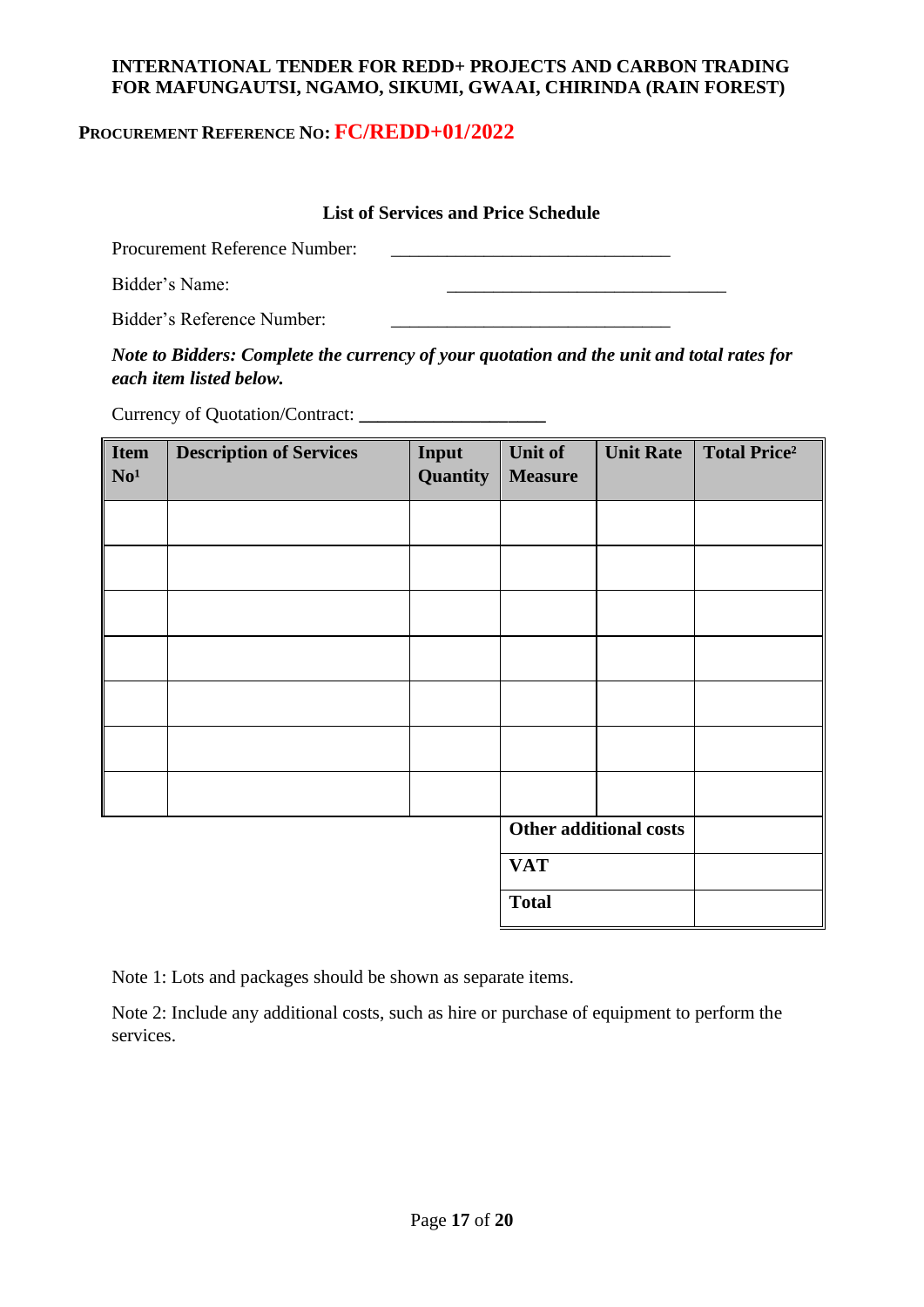## **PROCUREMENT REFERENCE NO: FC/REDD+01/2022**

#### **List of Services and Price Schedule**

Procurement Reference Number: \_\_\_\_\_\_\_\_\_\_\_\_\_\_\_\_\_\_\_\_\_\_\_\_\_\_\_\_\_\_

Bidder's Name:

Bidder's Reference Number:

## *Note to Bidders: Complete the currency of your quotation and the unit and total rates for each item listed below.*

Currency of Quotation/Contract: **\_\_\_\_\_\_\_\_\_\_\_\_\_\_\_\_\_\_\_\_**

| <b>Item</b><br>$\mathbf{N}\mathbf{o}^1$ | <b>Description of Services</b> | Input<br>Quantity | <b>Unit of</b><br><b>Measure</b> | <b>Unit Rate</b>       | <b>Total Price</b> <sup>2</sup> |
|-----------------------------------------|--------------------------------|-------------------|----------------------------------|------------------------|---------------------------------|
|                                         |                                |                   |                                  |                        |                                 |
|                                         |                                |                   |                                  |                        |                                 |
|                                         |                                |                   |                                  |                        |                                 |
|                                         |                                |                   |                                  |                        |                                 |
|                                         |                                |                   |                                  |                        |                                 |
|                                         |                                |                   |                                  |                        |                                 |
|                                         |                                |                   |                                  |                        |                                 |
|                                         |                                |                   |                                  | Other additional costs |                                 |
|                                         |                                |                   | <b>VAT</b>                       |                        |                                 |
|                                         |                                |                   | <b>Total</b>                     |                        |                                 |

Note 1: Lots and packages should be shown as separate items.

Note 2: Include any additional costs, such as hire or purchase of equipment to perform the services.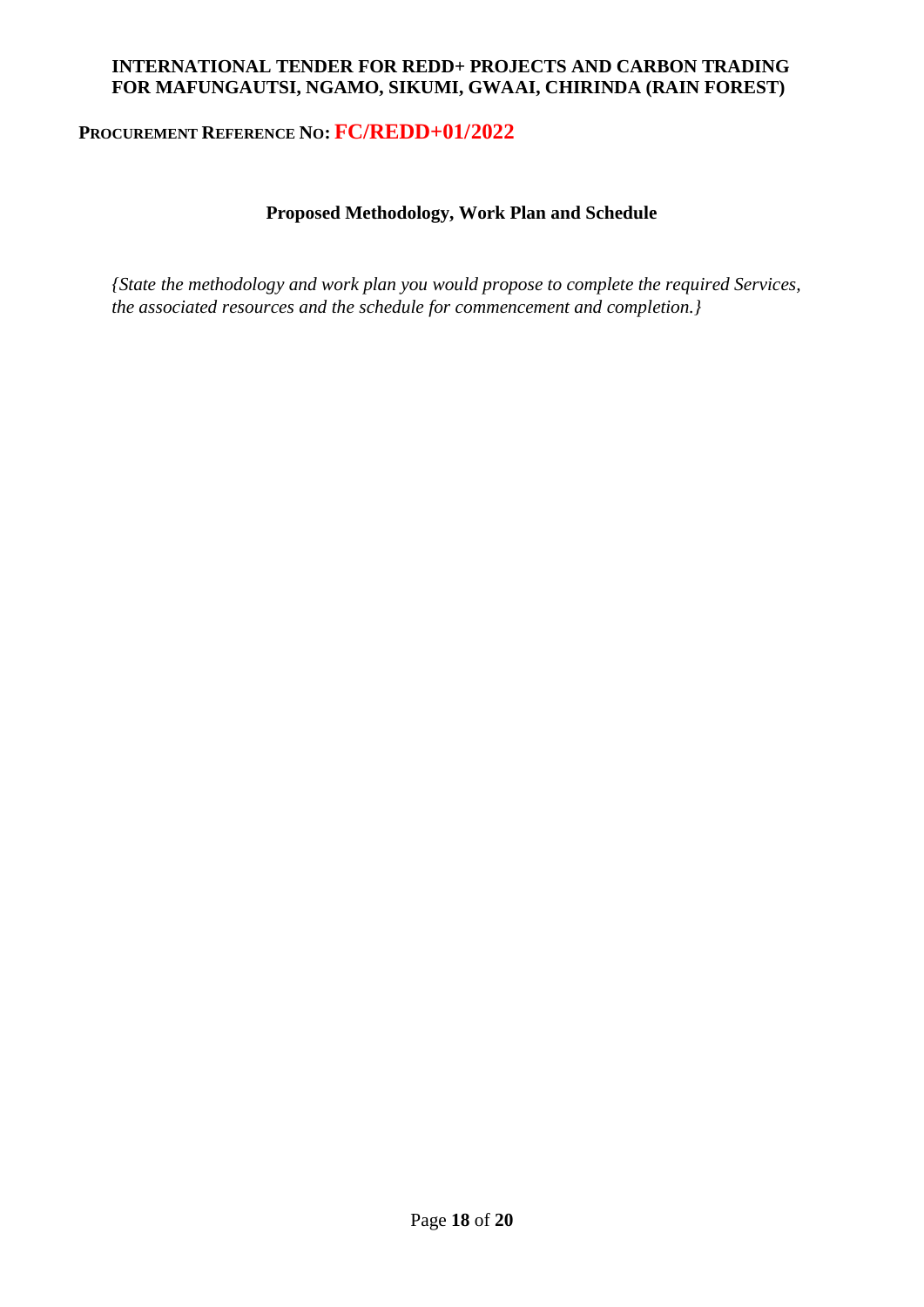## **PROCUREMENT REFERENCE NO: FC/REDD+01/2022**

## **Proposed Methodology, Work Plan and Schedule**

*{State the methodology and work plan you would propose to complete the required Services, the associated resources and the schedule for commencement and completion.}*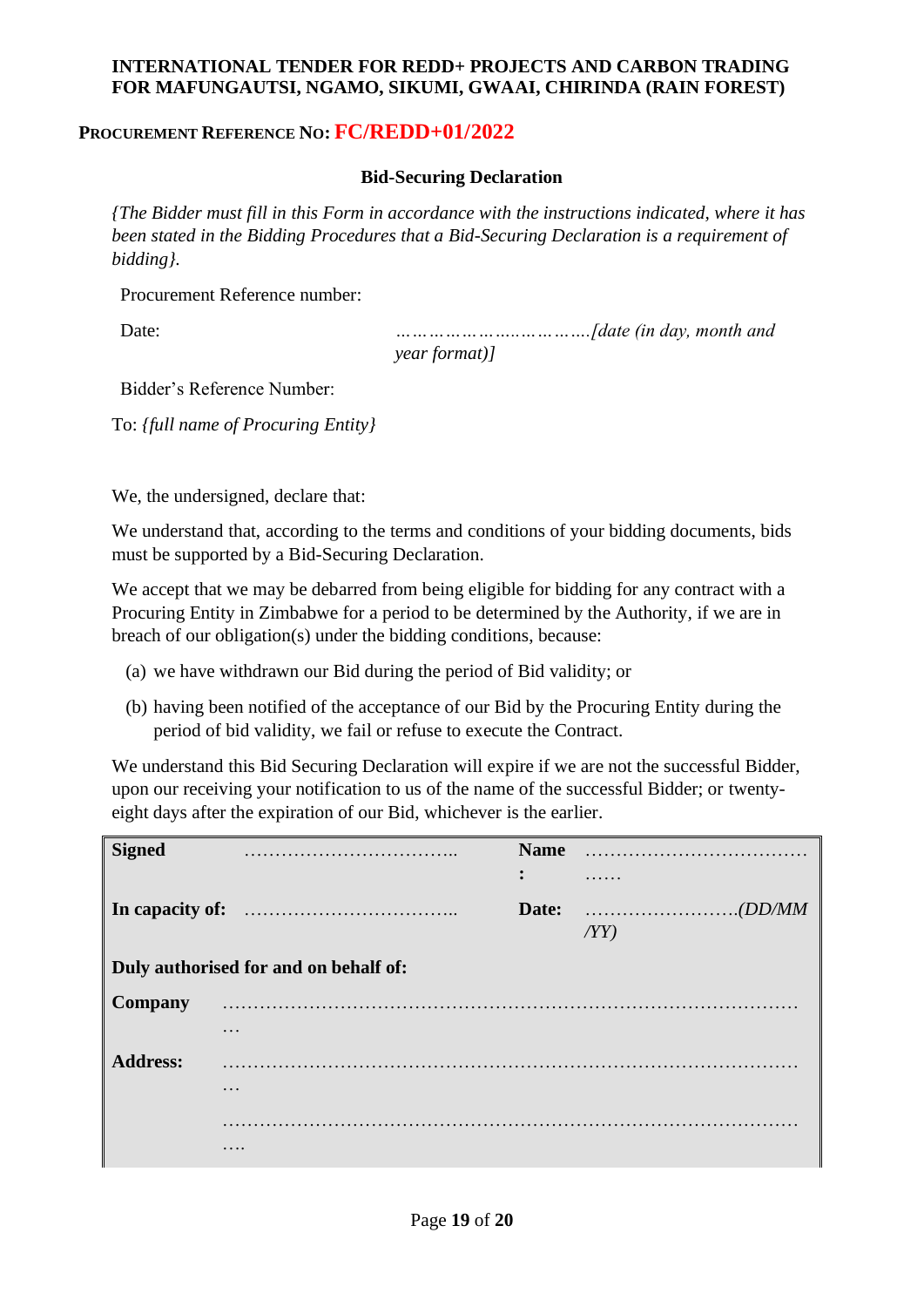## **PROCUREMENT REFERENCE NO: FC/REDD+01/2022**

#### **Bid-Securing Declaration**

*{The Bidder must fill in this Form in accordance with the instructions indicated, where it has been stated in the Bidding Procedures that a Bid-Securing Declaration is a requirement of bidding}.*

Procurement Reference number:

Date: *…………………..………….[date (in day, month and year format)]*

Bidder's Reference Number:

To: *{full name of Procuring Entity}*

We, the undersigned, declare that:

We understand that, according to the terms and conditions of your bidding documents, bids must be supported by a Bid-Securing Declaration.

We accept that we may be debarred from being eligible for bidding for any contract with a Procuring Entity in Zimbabwe for a period to be determined by the Authority*,* if we are in breach of our obligation(s) under the bidding conditions, because:

- (a) we have withdrawn our Bid during the period of Bid validity; or
- (b) having been notified of the acceptance of our Bid by the Procuring Entity during the period of bid validity, we fail or refuse to execute the Contract.

We understand this Bid Securing Declaration will expire if we are not the successful Bidder, upon our receiving your notification to us of the name of the successful Bidder; or twentyeight days after the expiration of our Bid, whichever is the earlier.

| <b>Signed</b>   |                                       | <b>Name</b>            |                      |
|-----------------|---------------------------------------|------------------------|----------------------|
|                 |                                       | $\bullet$<br>$\bullet$ | .                    |
|                 |                                       |                        |                      |
|                 |                                       |                        | $\langle YY \rangle$ |
|                 | Duly authorised for and on behalf of: |                        |                      |
| Company         |                                       |                        |                      |
|                 | $\cdot\cdot\cdot$                     |                        |                      |
| <b>Address:</b> |                                       |                        |                      |
|                 | $\cdot\cdot\cdot$                     |                        |                      |
|                 |                                       |                        |                      |
|                 | $\cdots$                              |                        |                      |